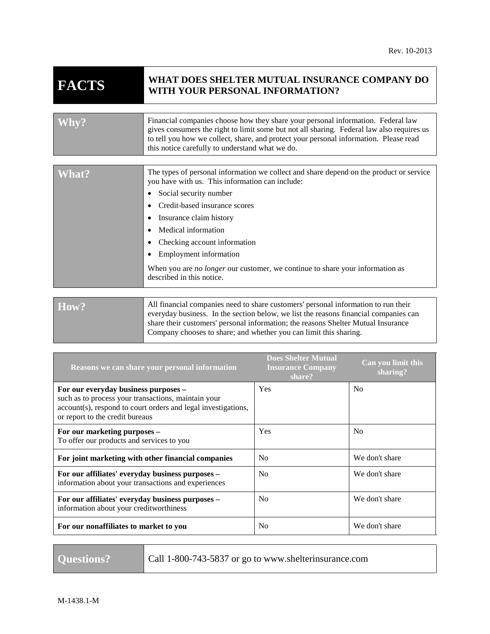## **FACTS WHAT DOES SHELTER MUTUAL INSURANCE COMPANY DO WITH YOUR PERSONAL INFORMATION?**

| gives consumers the right to limit some but not all sharing. Federal law also requires us<br>to tell you how we collect, share, and protect your personal information. Please read | this notice carefully to understand what we do. |
|------------------------------------------------------------------------------------------------------------------------------------------------------------------------------------|-------------------------------------------------|
|------------------------------------------------------------------------------------------------------------------------------------------------------------------------------------|-------------------------------------------------|

| What? | The types of personal information we collect and share depend on the product or service<br>you have with us. This information can include:<br>Social security number<br>Credit-based insurance scores<br>Insurance claim history<br>Medical information<br>Checking account information<br>Employment information<br>When you are <i>no longer</i> our customer, we continue to share your information as<br>described in this notice. |
|-------|----------------------------------------------------------------------------------------------------------------------------------------------------------------------------------------------------------------------------------------------------------------------------------------------------------------------------------------------------------------------------------------------------------------------------------------|
|       |                                                                                                                                                                                                                                                                                                                                                                                                                                        |
| How?  | All financial companies need to share customers' personal information to run their<br>everyday business. In the section below, we list the reasons financial companies can<br>share their customers' personal information; the reasons Shelter Mutual Insurance                                                                                                                                                                        |

Company chooses to share; and whether you can limit this sharing.

| Reasons we can share your personal information                                                                                                                                                  | <b>Does Shelter Mutual</b><br><b>Insurance Company</b><br>share? | Can you limit this<br>sharing? |
|-------------------------------------------------------------------------------------------------------------------------------------------------------------------------------------------------|------------------------------------------------------------------|--------------------------------|
| For our everyday business purposes –<br>such as to process your transactions, maintain your<br>account(s), respond to court orders and legal investigations,<br>or report to the credit bureaus | <b>Yes</b>                                                       | No                             |
| For our marketing purposes -<br>To offer our products and services to you                                                                                                                       | <b>Yes</b>                                                       | N <sub>0</sub>                 |
| For joint marketing with other financial companies                                                                                                                                              | No                                                               | We don't share                 |
| For our affiliates' everyday business purposes –<br>information about your transactions and experiences                                                                                         | N <sub>0</sub>                                                   | We don't share                 |
| For our affiliates' everyday business purposes -<br>information about your creditworthiness                                                                                                     | No                                                               | We don't share                 |
| For our nonaffiliates to market to you                                                                                                                                                          | N <sub>0</sub>                                                   | We don't share                 |

**Questions?** Call 1-800-743-5837 or go to www.shelterinsurance.com